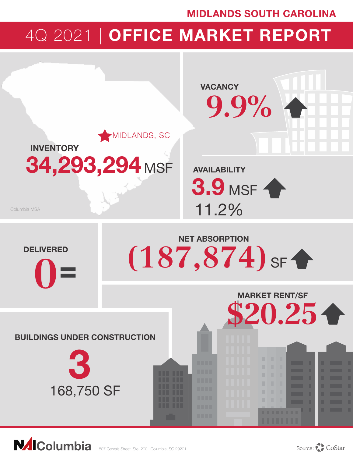## MIDLANDS SOUTH CAROLINA

# 4Q 2021 | OFFICE MARKET REPORT



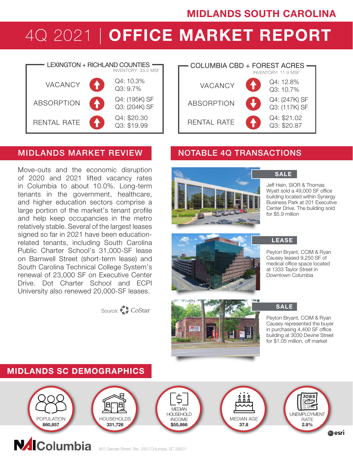# MIDLANDS SOUTH CAROLINA

# 4Q 2021 | OFFICE MARKET REPORT



### MIDLANDS MARKET REVIEW NOTABLE 4Q TRANSACTIONS

Move-outs and the economic disruption of 2020 and 2021 lifted vacancy rates in Columbia to about 10.0%. Long-term tenants in the government, healthcare, and higher education sectors comprise a large portion of the market's tenant profile and help keep occupancies in the metro relatively stable. Several of the largest leases signed so far in 2021 have been educationrelated tenants, including South Carolina Public Charter School's 31,000-SF lease on Barnwell Street (short-term lease) and South Carolina Technical College System's renewal of 23,000 SF on Executive Center Drive. Dot Charter School and ECPI University also renewed 20,000-SF leases.

## Source: CoStar







Jeff Hein, SIOR & Thomas Wyatt sold a 49,000 SF office building located within Synergy Business Park at 201 Executive Center Drive. The building sold for \$5.9 million



### LEASE

Peyton Bryant, CCIM & Ryan Causey leased 9,250 SF of medical office space located at 1333 Taylor Street in Downtown Columbia

SALE

Peyton Bryant, CCIM & Ryan Causey represented the buyer in purchasing 4,400 SF office building at 3030 Devine Street for \$1.05 million, off market

## MIDLANDS SC DEMOGRAPHICS